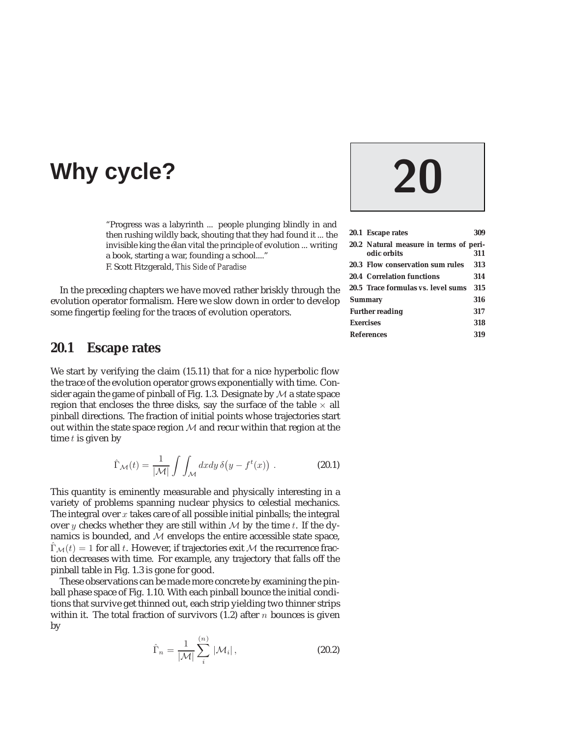# **Why cycle? 20**

"Progress was a labyrinth ... people plunging blindly in and then rushing wildly back, shouting that they had found it ... the invisible king the élan vital the principle of evolution ... writing a book, starting a war, founding a school...." F. Scott Fitzgerald, *This Side of Paradise*

In the preceding chapters we have moved rather briskly through the evolution operator formalism. Here we slow down in order to develop some fingertip feeling for the traces of evolution operators.

#### **20.1 Escape rates**

We start by verifying the claim (15.11) that for a nice hyperbolic flow the trace of the evolution operator grows exponentially with time. Consider again the game of pinball of Fig. 1.3. Designate by  $M$  a state space region that encloses the three disks, say the surface of the table  $\times$  all pinball directions. The fraction of initial points whose trajectories start out within the state space region  $M$  and recur within that region at the time  $t$  is given by

$$
\hat{\Gamma}_{\mathcal{M}}(t) = \frac{1}{|\mathcal{M}|} \int \int_{\mathcal{M}} dx dy \, \delta\big(y - f^t(x)\big) \ . \tag{20.1}
$$

This quantity is eminently measurable and physically interesting in a variety of problems spanning nuclear physics to celestial mechanics. The integral over  $x$  takes care of all possible initial pinballs; the integral over y checks whether they are still within  $M$  by the time t. If the dynamics is bounded, and  $M$  envelops the entire accessible state space,  $\hat{\Gamma}_{\mathcal{M}}(t)=1$  for all t. However, if trajectories exit M the recurrence fraction decreases with time. For example, any trajectory that falls off the pinball table in Fig. 1.3 is gone for good.

These observations can be made more concrete by examining the pinball phase space of Fig. 1.10. With each pinball bounce the initial conditions that survive get thinned out, each strip yielding two thinner strips within it. The total fraction of survivors  $(1.2)$  after n bounces is given by

$$
\hat{\Gamma}_n = \frac{1}{|\mathcal{M}|} \sum_{i}^{(n)} |\mathcal{M}_i|, \qquad (20.2)
$$

|                        | 20.1 Escape rates                                     | 309 |
|------------------------|-------------------------------------------------------|-----|
|                        | 20.2 Natural measure in terms of peri-<br>odic orbits | 311 |
|                        | <b>20.3 Flow conservation sum rules</b>               | 313 |
|                        | <b>20.4 Correlation functions</b>                     | 314 |
|                        | 20.5 Trace formulas vs. level sums                    | 315 |
| <b>Summary</b>         |                                                       | 316 |
| <b>Further reading</b> |                                                       | 317 |
| <b>Exercises</b>       |                                                       | 318 |
| <b>References</b>      |                                                       | 319 |
|                        |                                                       |     |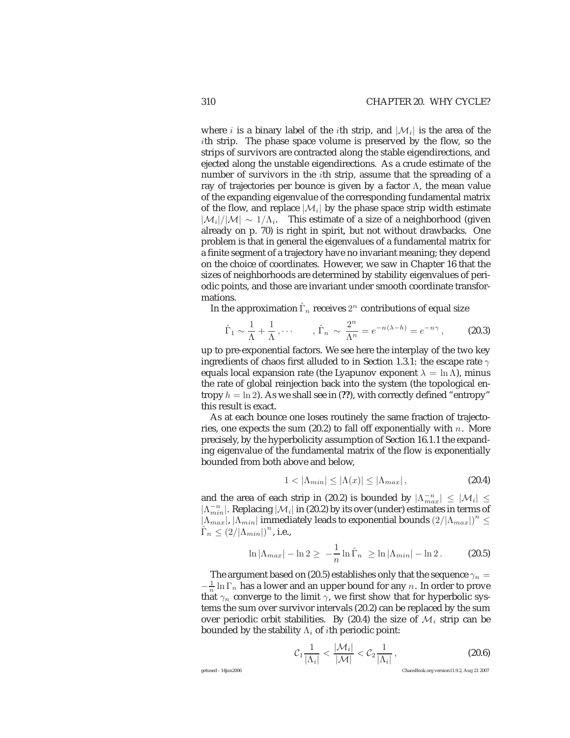where i is a binary label of the ith strip, and  $|\mathcal{M}_i|$  is the area of the ith strip. The phase space volume is preserved by the flow, so the strips of survivors are contracted along the stable eigendirections, and ejected along the unstable eigendirections. As a crude estimate of the number of survivors in the ith strip, assume that the spreading of a ray of trajectories per bounce is given by a factor Λ, the mean value of the expanding eigenvalue of the corresponding fundamental matrix of the flow, and replace  $|\mathcal{M}_i|$  by the phase space strip width estimate  $|\mathcal{M}_i|/|\mathcal{M}| \sim 1/\Lambda_i$ . This estimate of a size of a neighborhood (given already on p. 70) is right in spirit, but not without drawbacks. One problem is that in general the eigenvalues of a fundamental matrix for a finite segment of a trajectory have no invariant meaning; they depend on the choice of coordinates. However, we saw in Chapter 16 that the sizes of neighborhoods are determined by stability eigenvalues of periodic points, and those are invariant under smooth coordinate transformations.

In the approximation  $\hat{\Gamma}_n$  receives  $2^n$  contributions of equal size

$$
\hat{\Gamma}_1 \sim \frac{1}{\Lambda} + \frac{1}{\Lambda}, \cdots, \quad \hat{\Gamma}_n \sim \frac{2^n}{\Lambda^n} = e^{-n(\lambda - h)} = e^{-n\gamma}, \tag{20.3}
$$

up to pre-exponential factors. We see here the interplay of the two key ingredients of chaos first alluded to in Section 1.3.1: the escape rate  $\gamma$ equals local expansion rate (the Lyapunov exponent  $\lambda = \ln \Lambda$ ), minus the rate of global reinjection back into the system (the topological entropy  $h = \ln 2$ ). As we shall see in (??), with correctly defined "entropy" this result is exact.

As at each bounce one loses routinely the same fraction of trajectories, one expects the sum  $(20.2)$  to fall off exponentially with n. More precisely, by the hyperbolicity assumption of Section 16.1.1 the expanding eigenvalue of the fundamental matrix of the flow is exponentially bounded from both above and below,

$$
1 < |\Lambda_{min}| \le |\Lambda(x)| \le |\Lambda_{max}|,
$$
\n(20.4)

and the area of each strip in (20.2) is bounded by  $|\Lambda_{max}^{-n}| \leq |\mathcal{M}_i| \leq$  $|\Lambda_{min}^{-n}|$ . Replacing  $|\mathcal{M}_i|$  in (20.2) by its over (under) estimates in terms of  $|\Lambda_{max}^{min}|$ ,  $|\Lambda_{min}|$  immediately leads to exponential bounds  $(2/|\Lambda_{max}|)^n \le$  $\hat{\Gamma}_n \leq (2/|\Lambda_{min}|)^n$ , i.e.,

$$
\ln|\Lambda_{max}| - \ln 2 \geq -\frac{1}{n}\ln\widehat{\Gamma}_n \geq \ln|\Lambda_{min}| - \ln 2. \tag{20.5}
$$

The argument based on (20.5) establishes only that the sequence  $\gamma_n =$  $-\frac{1}{n}\ln\Gamma_n$  has a lower and an upper bound for any n. In order to prove that  $\gamma_n$  converge to the limit  $\gamma$ , we first show that for hyperbolic systems the sum over survivor intervals (20.2) can be replaced by the sum over periodic orbit stabilities. By (20.4) the size of  $\mathcal{M}_i$  strip can be bounded by the stability  $\Lambda_i$  of *i*th periodic point:

$$
\mathcal{C}_1 \frac{1}{|\Lambda_i|} < \frac{|\mathcal{M}_i|}{|\mathcal{M}|} < \mathcal{C}_2 \frac{1}{|\Lambda_i|},\tag{20.6}
$$

getused - 14jun2006 ChaosBook.org version11.9.2, Aug 21 2007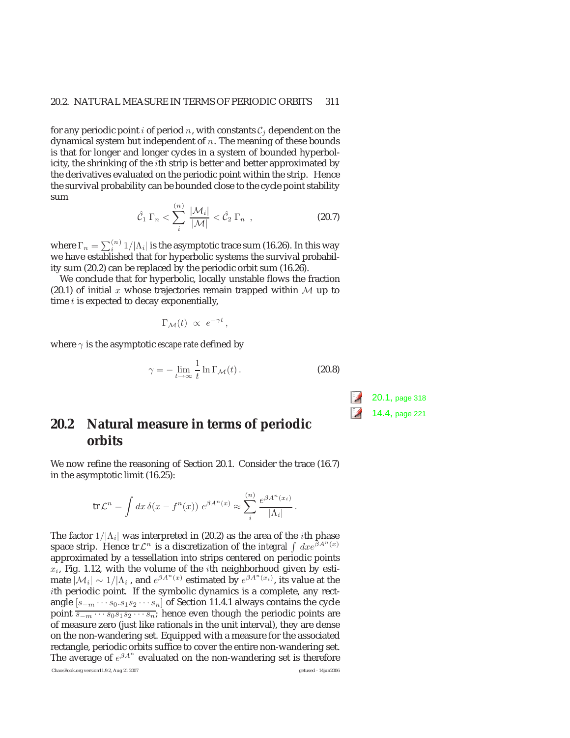for any periodic point i of period n, with constants  $C_i$  dependent on the dynamical system but independent of  $n$ . The meaning of these bounds is that for longer and longer cycles in a system of bounded hyperbolicity, the shrinking of the  $i$ th strip is better and better approximated by the derivatives evaluated on the periodic point within the strip. Hence the survival probability can be bounded close to the cycle point stability sum  $(1)$ 

$$
\hat{\mathcal{C}}_1 \Gamma_n < \sum_i^{\lfloor n/2 \rfloor} \frac{|\mathcal{M}_i|}{|\mathcal{M}|} < \hat{\mathcal{C}}_2 \Gamma_n \quad , \tag{20.7}
$$

where  $\Gamma_n = \sum_i^{(n)} 1/|\Lambda_i|$  is the asymptotic trace sum (16.26). In this way we have established that for hyperbolic systems the survival probability sum (20.2) can be replaced by the periodic orbit sum (16.26).

We conclude that for hyperbolic, locally unstable flows the fraction (20.1) of initial x whose trajectories remain trapped within  $M$  up to time  $t$  is expected to decay exponentially,

$$
\Gamma_{\mathcal{M}}(t) \,\,\propto\,\,e^{-\gamma t}\,,
$$

where  $\gamma$  is the asymptotic *escape rate* defined by

$$
\gamma = -\lim_{t \to \infty} \frac{1}{t} \ln \Gamma_{\mathcal{M}}(t).
$$
 (20.8)

### **20.2 Natural measure in terms of periodic orbits**

We now refine the reasoning of Section 20.1. Consider the trace (16.7) in the asymptotic limit (16.25):

$$
\operatorname{tr} \mathcal{L}^n = \int dx \, \delta(x - f^n(x)) \, e^{\beta A^n(x)} \approx \sum_i^{(n)} \frac{e^{\beta A^n(x_i)}}{|\Lambda_i|}.
$$

The factor  $1/|\Lambda_i|$  was interpreted in (20.2) as the area of the *i*th phase space strip. Hence tr $\mathcal{L}^n$  is a discretization of the *integral*  $\int dx e^{\beta A^n(x)}$ approximated by a tessellation into strips centered on periodic points  $x_i$ , Fig. 1.12, with the volume of the *i*th neighborhood given by estimate  $|\mathcal{M}_i| \sim 1/|\Lambda_i|$ , and  $e^{\beta A^n(x)}$  estimated by  $e^{\beta A^n(x_i)}$ , its value at the ith periodic point. If the symbolic dynamics is a complete, any rectangle  $[s_{-m} \cdots s_0 \cdot s_1 s_2 \cdots s_n]$  of Section 11.4.1 always contains the cycle point  $\overline{s_{-m} \cdots s_0 s_1 s_2 \cdots s_n}$ ; hence even though the periodic points are of measure zero (just like rationals in the unit interval), they are dense on the non-wandering set. Equipped with a measure for the associated rectangle, periodic orbits suffice to cover the entire non-wandering set. The average of  $e^{\beta A^n}$  evaluated on the non-wandering set is therefore

ChaosBook.org version11.9.2, Aug 21 2007 getused - 14jun2006

20.1, page 318 14.4, page 221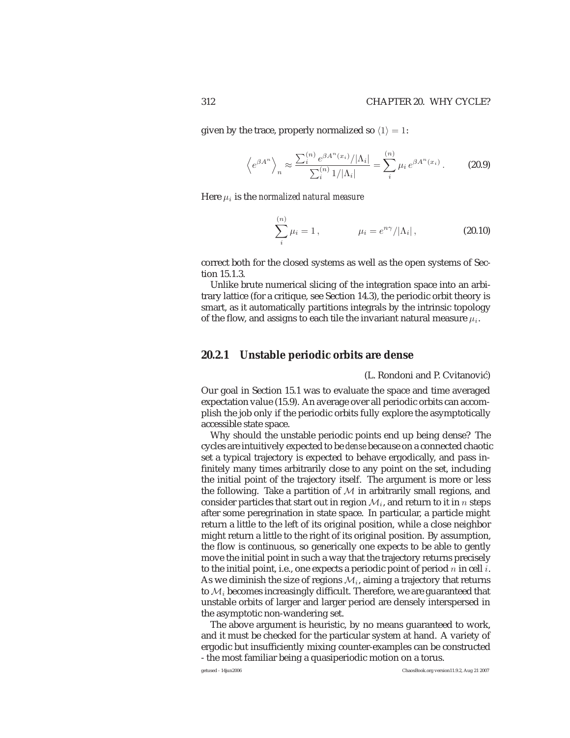given by the trace, properly normalized so  $\langle 1 \rangle = 1$ :

$$
\left\langle e^{\beta A^n} \right\rangle_n \approx \frac{\sum_i^{(n)} e^{\beta A^n(x_i)}/|\Lambda_i|}{\sum_i^{(n)} 1/|\Lambda_i|} = \sum_i^{(n)} \mu_i e^{\beta A^n(x_i)}.
$$
 (20.9)

Here μ<sup>i</sup> is the *normalized natural measure*

$$
\sum_{i}^{(n)} \mu_i = 1, \qquad \mu_i = e^{n\gamma} / |\Lambda_i|, \qquad (20.10)
$$

correct both for the closed systems as well as the open systems of Section 15.1.3.

Unlike brute numerical slicing of the integration space into an arbitrary lattice (for a critique, see Section 14.3), the periodic orbit theory is smart, as it automatically partitions integrals by the intrinsic topology of the flow, and assigns to each tile the invariant natural measure  $\mu_i$ .

#### **20.2.1 Unstable periodic orbits are dense**

(L. Rondoni and P. Cvitanović)

Our goal in Section 15.1 was to evaluate the space and time averaged expectation value (15.9). An average over all periodic orbits can accomplish the job only if the periodic orbits fully explore the asymptotically accessible state space.

Why should the unstable periodic points end up being dense? The cycles are intuitively expected to be *dense* because on a connected chaotic set a typical trajectory is expected to behave ergodically, and pass infinitely many times arbitrarily close to any point on the set, including the initial point of the trajectory itself. The argument is more or less the following. Take a partition of  $M$  in arbitrarily small regions, and consider particles that start out in region  $\mathcal{M}_i$ , and return to it in n steps after some peregrination in state space. In particular, a particle might return a little to the left of its original position, while a close neighbor might return a little to the right of its original position. By assumption, the flow is continuous, so generically one expects to be able to gently move the initial point in such a way that the trajectory returns precisely to the initial point, i.e., one expects a periodic point of period  $n$  in cell  $i$ . As we diminish the size of regions  $\mathcal{M}_i$ , aiming a trajectory that returns to  $\mathcal{M}_i$  becomes increasingly difficult. Therefore, we are guaranteed that unstable orbits of larger and larger period are densely interspersed in the asymptotic non-wandering set.

The above argument is heuristic, by no means guaranteed to work, and it must be checked for the particular system at hand. A variety of ergodic but insufficiently mixing counter-examples can be constructed - the most familiar being a quasiperiodic motion on a torus.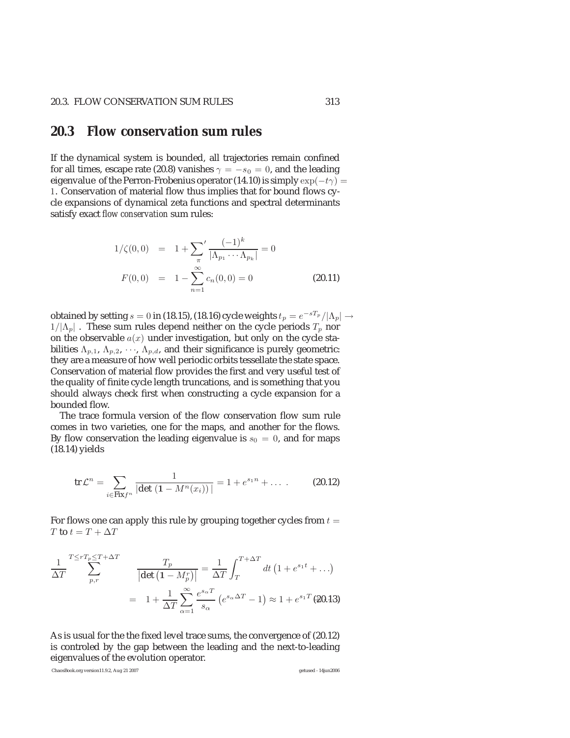#### **20.3 Flow conservation sum rules**

If the dynamical system is bounded, all trajectories remain confined for all times, escape rate (20.8) vanishes  $\gamma = -s_0 = 0$ , and the leading eigenvalue of the Perron-Frobenius operator (14.10) is simply  $\exp(-t\gamma)$  = 1. Conservation of material flow thus implies that for bound flows cycle expansions of dynamical zeta functions and spectral determinants satisfy exact *flow conservation* sum rules:

$$
1/\zeta(0,0) = 1 + \sum_{\pi}^{\prime} \frac{(-1)^k}{|\Lambda_{p_1} \cdots \Lambda_{p_k}|} = 0
$$
  

$$
F(0,0) = 1 - \sum_{n=1}^{\infty} c_n(0,0) = 0
$$
 (20.11)

obtained by setting  $s = 0$  in (18.15), (18.16) cycle weights  $t_p = e^{-sT_p}/|\Lambda_p| \rightarrow$  $1/|\Lambda_p|$ . These sum rules depend neither on the cycle periods  $T_p$  nor on the observable  $a(x)$  under investigation, but only on the cycle stabilities  $\Lambda_{p,1}$ ,  $\Lambda_{p,2}$ ,  $\cdots$ ,  $\Lambda_{p,d}$ , and their significance is purely geometric: they are a measure of how well periodic orbits tessellate the state space. Conservation of material flow provides the first and very useful test of the quality of finite cycle length truncations, and is something that you should always check first when constructing a cycle expansion for a bounded flow.

The trace formula version of the flow conservation flow sum rule comes in two varieties, one for the maps, and another for the flows. By flow conservation the leading eigenvalue is  $s_0 = 0$ , and for maps (18.14) yields

$$
\text{tr }\mathcal{L}^n = \sum_{i \in \text{Fix } f^n} \frac{1}{|\det (1 - M^n(x_i))|} = 1 + e^{s_1 n} + \dots \quad (20.12)
$$

For flows one can apply this rule by grouping together cycles from  $t =$  $T$  to  $t=T+\Delta T$ 

$$
\frac{1}{\Delta T} \sum_{p,r}^{T \le rT_p \le T + \Delta T} \frac{T_p}{\left|\det\left(1 - M_p^r\right)\right|} = \frac{1}{\Delta T} \int_T^{T + \Delta T} dt \left(1 + e^{s_1 t} + \ldots\right)
$$

$$
= 1 + \frac{1}{\Delta T} \sum_{\alpha=1}^{\infty} \frac{e^{s_\alpha T}}{s_\alpha} \left(e^{s_\alpha \Delta T} - 1\right) \approx 1 + e^{s_1 T} \tag{20.13}
$$

As is usual for the the fixed level trace sums, the convergence of (20.12) is controled by the gap between the leading and the next-to-leading eigenvalues of the evolution operator.

ChaosBook.org version11.9.2, Aug 21 2007 getused - 14jun2006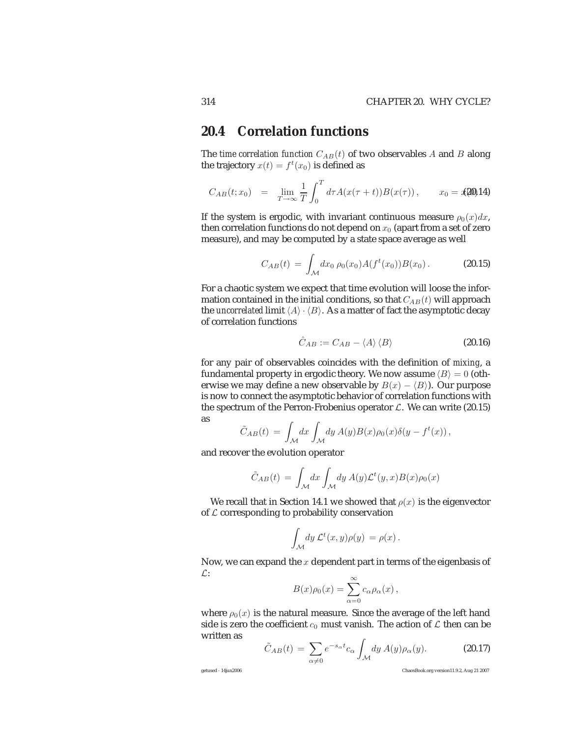#### **20.4 Correlation functions**

The *time correlation function*  $C_{AB}(t)$  of two observables A and B along the trajectory  $x(t) = f^t(x_0)$  is defined as

$$
C_{AB}(t;x_0) = \lim_{T \to \infty} \frac{1}{T} \int_0^T d\tau A(x(\tau + t)) B(x(\tau)), \qquad x_0 = x(20)14
$$

If the system is ergodic, with invariant continuous measure  $\rho_0(x)dx$ , then correlation functions do not depend on  $x_0$  (apart from a set of zero measure), and may be computed by a state space average as well

$$
C_{AB}(t) = \int_{\mathcal{M}} dx_0 \, \rho_0(x_0) A(f^t(x_0)) B(x_0) \,. \tag{20.15}
$$

For a chaotic system we expect that time evolution will loose the information contained in the initial conditions, so that  $C_{AB}(t)$  will approach the *uncorrelated* limit  $\langle A \rangle \cdot \langle B \rangle$ . As a matter of fact the asymptotic decay of correlation functions

$$
\hat{C}_{AB} := C_{AB} - \langle A \rangle \langle B \rangle \tag{20.16}
$$

for any pair of observables coincides with the definition of *mixing*, a fundamental property in ergodic theory. We now assume  $\langle B \rangle = 0$  (otherwise we may define a new observable by  $B(x) - \langle B \rangle$ ). Our purpose is now to connect the asymptotic behavior of correlation functions with the spectrum of the Perron-Frobenius operator  $\mathcal{L}$ . We can write (20.15) as

$$
\tilde{C}_{AB}(t) = \int_{\mathcal{M}} dx \int_{\mathcal{M}} dy A(y) B(x) \rho_0(x) \delta(y - f^t(x)),
$$

and recover the evolution operator

$$
\tilde{C}_{AB}(t) = \int_{\mathcal{M}} dx \int_{\mathcal{M}} dy \, A(y) \mathcal{L}^t(y, x) B(x) \rho_0(x)
$$

We recall that in Section 14.1 we showed that  $\rho(x)$  is the eigenvector of  $\mathcal L$  corresponding to probability conservation

$$
\int_{\mathcal{M}} dy \, \mathcal{L}^t(x, y) \rho(y) = \rho(x) \, .
$$

Now, we can expand the  $x$  dependent part in terms of the eigenbasis of  $\mathcal{L}$ : ∞

$$
B(x)\rho_0(x) = \sum_{\alpha=0}^{\infty} c_{\alpha}\rho_{\alpha}(x),
$$

where  $\rho_0(x)$  is the natural measure. Since the average of the left hand side is zero the coefficient  $c_0$  must vanish. The action of  $\mathcal L$  then can be written as

$$
\tilde{C}_{AB}(t) = \sum_{\alpha \neq 0} e^{-s_{\alpha}t} c_{\alpha} \int_{\mathcal{M}} dy \, A(y) \rho_{\alpha}(y). \tag{20.17}
$$

getused - 14jun2006 ChaosBook.org version11.9.2, Aug 21 2007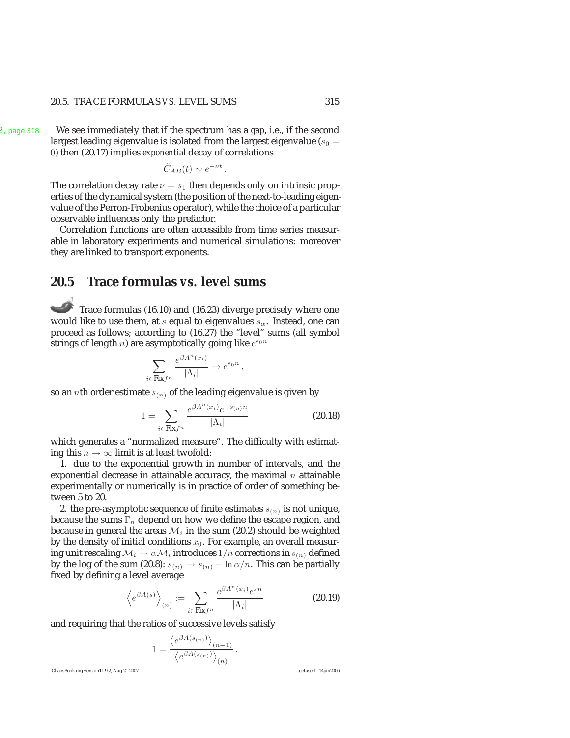#### 20.5. TRACE FORMULAS *VS.* LEVEL SUMS 315

.2, page 318 We see immediately that if the spectrum has a *gap*, i.e., if the second largest leading eigenvalue is isolated from the largest eigenvalue ( $s_0 =$ 0) then (20.17) implies *exponential* decay of correlations

$$
\tilde{C}_{AB}(t) \sim e^{-\nu t}.
$$

The correlation decay rate  $\nu = s_1$  then depends only on intrinsic properties of the dynamical system (the position of the next-to-leading eigenvalue of the Perron-Frobenius operator), while the choice of a particular observable influences only the prefactor.

Correlation functions are often accessible from time series measurable in laboratory experiments and numerical simulations: moreover they are linked to transport exponents.

#### **20.5 Trace formulas** *vs.* **level sums**

Trace formulas (16.10) and (16.23) diverge precisely where one would like to use them, at s equal to eigenvalues  $s_{\alpha}$ . Instead, one can proceed as follows; according to (16.27) the "level" sums (all symbol strings of length *n*) are asymptotically going like  $e^{s_0 n}$ 

$$
\sum_{i \in \text{Fix} f^n} \frac{e^{\beta A^n(x_i)}}{|\Lambda_i|} \to e^{s_0 n},
$$

so an *n*th order estimate  $s_{(n)}$  of the leading eigenvalue is given by

$$
1 = \sum_{i \in \text{Fix} f^n} \frac{e^{\beta A^n(x_i)} e^{-s_{(n)}n}}{|\Lambda_i|}
$$
 (20.18)

which generates a "normalized measure". The difficulty with estimating this  $n \to \infty$  limit is at least twofold:

1. due to the exponential growth in number of intervals, and the exponential decrease in attainable accuracy, the maximal  $n$  attainable experimentally or numerically is in practice of order of something between 5 to 20.

2. the pre-asymptotic sequence of finite estimates  $s_{(n)}$  is not unique, because the sums  $\Gamma_n$  depend on how we define the escape region, and because in general the areas  $\mathcal{M}_i$  in the sum (20.2) should be weighted by the density of initial conditions  $x_0$ . For example, an overall measuring unit rescaling  $\mathcal{M}_i \rightarrow \alpha \mathcal{M}_i$  introduces  $1/n$  corrections in  $s_{(n)}$  defined by the log of the sum (20.8):  $s(n) \to s(n) - \ln \alpha/n$ . This can be partially fixed by defining a level average

$$
\left\langle e^{\beta A(s)} \right\rangle_{(n)} := \sum_{i \in \text{Fix} f^n} \frac{e^{\beta A^n(x_i)} e^{sn}}{|\Lambda_i|}
$$
 (20.19)

and requiring that the ratios of successive levels satisfy

$$
1 = \frac{\left\langle e^{\beta A(s_{(n)})} \right\rangle_{(n+1)}}{\left\langle e^{\beta A(s_{(n)})} \right\rangle_{(n)}}.
$$

ChaosBook.org version11.9.2, Aug 21 2007 getused - 14jun2006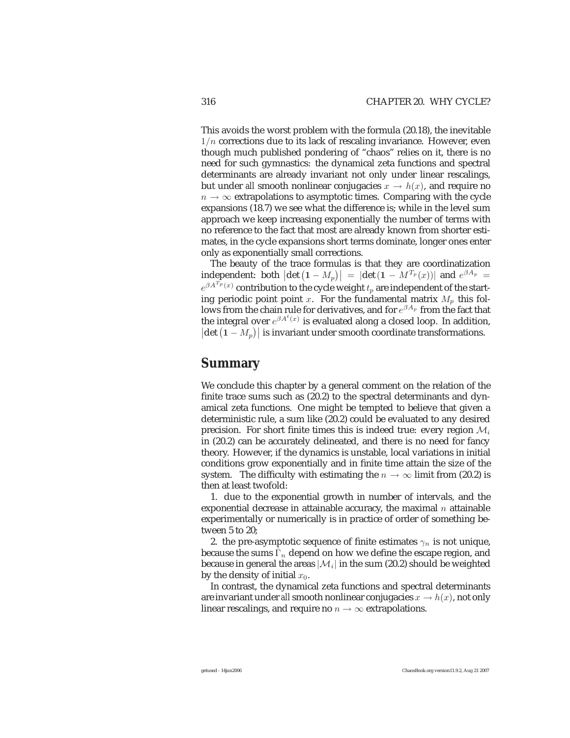This avoids the worst problem with the formula (20.18), the inevitable  $1/n$  corrections due to its lack of rescaling invariance. However, even though much published pondering of "chaos" relies on it, there is no need for such gymnastics: the dynamical zeta functions and spectral determinants are already invariant not only under linear rescalings, but under *all* smooth nonlinear conjugacies  $x \to h(x)$ , and require no  $n \to \infty$  extrapolations to asymptotic times. Comparing with the cycle expansions (18.7) we see what the difference is; while in the level sum approach we keep increasing exponentially the number of terms with no reference to the fact that most are already known from shorter estimates, in the cycle expansions short terms dominate, longer ones enter only as exponentially small corrections.

The beauty of the trace formulas is that they are coordinatization **independent:** both  $|\det(\mathbf{1} - M_p)| = |\det(\mathbf{1} - M^{T_p}(x))|$  and  $e^{\beta A_p} =$  $e^{\beta A^{T_p}(x)}$  contribution to the cycle weight  $t_p$  are independent of the starting periodic point point x. For the fundamental matrix  $M_n$  this follows from the chain rule for derivatives, and for  $e^{\beta A_p}$  from the fact that the integral over  $e^{\beta A^t(x)}$  is evaluated along a closed loop. In addition,  $|\text{det}(\mathbf{1} - M_p)|$  is invariant under smooth coordinate transformations.

#### **Summary**

We conclude this chapter by a general comment on the relation of the finite trace sums such as (20.2) to the spectral determinants and dynamical zeta functions. One might be tempted to believe that given a deterministic rule, a sum like (20.2) could be evaluated to any desired precision. For short finite times this is indeed true: every region  $\mathcal{M}_i$ in (20.2) can be accurately delineated, and there is no need for fancy theory. However, if the dynamics is unstable, local variations in initial conditions grow exponentially and in finite time attain the size of the system. The difficulty with estimating the  $n \to \infty$  limit from (20.2) is then at least twofold:

1. due to the exponential growth in number of intervals, and the exponential decrease in attainable accuracy, the maximal  $n$  attainable experimentally or numerically is in practice of order of something between 5 to 20;

2. the pre-asymptotic sequence of finite estimates  $\gamma_n$  is not unique, because the sums  $\hat{\Gamma}_n$  depend on how we define the escape region, and because in general the areas  $|\mathcal{M}_i|$  in the sum (20.2) should be weighted by the density of initial  $x_0$ .

In contrast, the dynamical zeta functions and spectral determinants are invariant under *all* smooth nonlinear conjugacies  $x \to h(x)$ , not only linear rescalings, and require no  $n \to \infty$  extrapolations.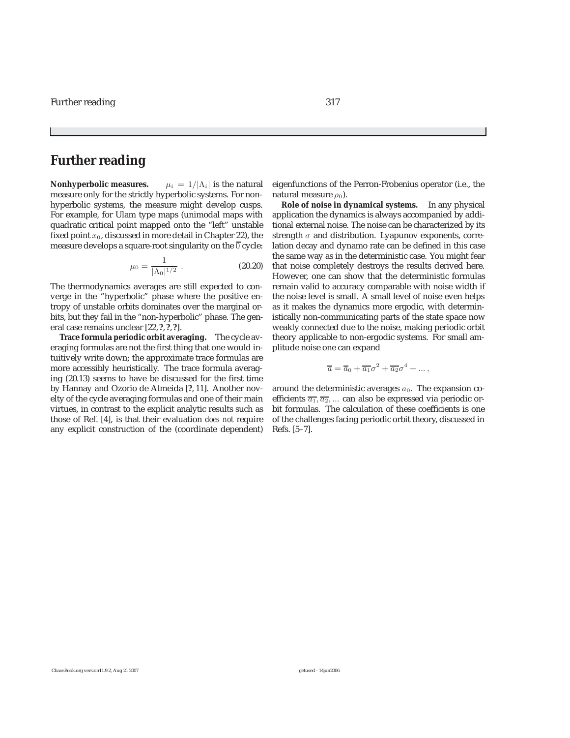#### **Further reading**

**Nonhyperbolic measures.**  $\mu_i = 1/|\Lambda_i|$  is the natural measure only for the strictly hyperbolic systems. For nonhyperbolic systems, the measure might develop cusps. For example, for Ulam type maps (unimodal maps with quadratic critical point mapped onto the "left" unstable fixed point  $x_0$ , discussed in more detail in Chapter 22), the measure develops a square-root singularity on the  $\overline{0}$  cycle:

$$
\mu_0 = \frac{1}{|\Lambda_0|^{1/2}} \ . \tag{20.20}
$$

The thermodynamics averages are still expected to converge in the "hyperbolic" phase where the positive entropy of unstable orbits dominates over the marginal orbits, but they fail in the "non-hyperbolic" phase. The general case remains unclear [22, **?**, **?**, **?**].

**Trace formula periodic orbit averaging.** The cycle averaging formulas are not the first thing that one would intuitively write down; the approximate trace formulas are more accessibly heuristically. The trace formula averaging (20.13) seems to have be discussed for the first time by Hannay and Ozorio de Almeida [**?**, 11]. Another novelty of the cycle averaging formulas and one of their main virtues, in contrast to the explicit analytic results such as those of Ref. [4], is that their evaluation *does not* require any explicit construction of the (coordinate dependent)

eigenfunctions of the Perron-Frobenius operator (i.e., the natural measure  $\rho_0$ ).

**Role of noise in dynamical systems.** In any physical application the dynamics is always accompanied by additional external noise. The noise can be characterized by its strength  $\sigma$  and distribution. Lyapunov exponents, correlation decay and dynamo rate can be defined in this case the same way as in the deterministic case. You might fear that noise completely destroys the results derived here. However, one can show that the deterministic formulas remain valid to accuracy comparable with noise width if the noise level is small. A small level of noise even helps as it makes the dynamics more ergodic, with deterministically non-communicating parts of the state space now weakly connected due to the noise, making periodic orbit theory applicable to non-ergodic systems. For small amplitude noise one can expand

$$
\overline{a} = \overline{a}_0 + \overline{a_1} \sigma^2 + \overline{a_2} \sigma^4 + \dots,
$$

around the deterministic averages  $a_0$ . The expansion coefficients  $\overline{a_1}, \overline{a_2}, \dots$  can also be expressed via periodic orbit formulas. The calculation of these coefficients is one of the challenges facing periodic orbit theory, discussed in Refs. [5–7].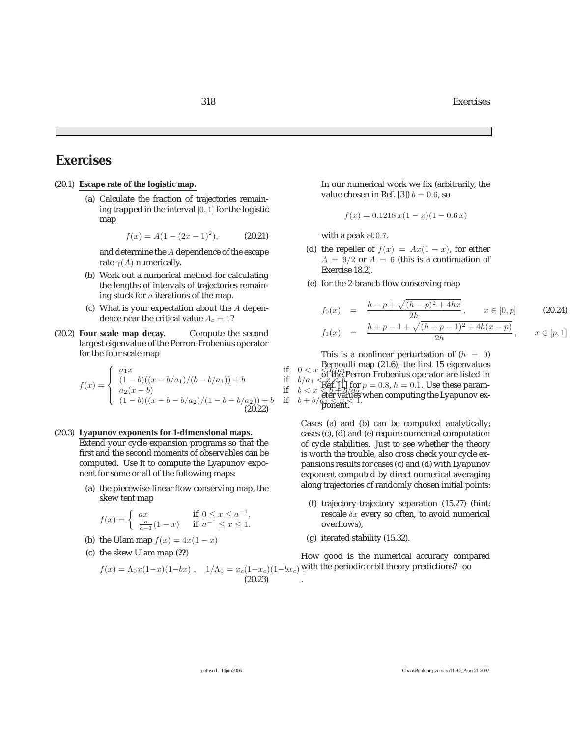318 Exercises

# **Exercises**

- (20.1) **Escape rate of the logistic map.**
	- (a) Calculate the fraction of trajectories remaining trapped in the interval [0, 1] for the logistic map

$$
f(x) = A(1 - (2x - 1)^2), \tag{20.21}
$$

and determine the A dependence of the escape rate  $\gamma(A)$  numerically.

- (b) Work out a numerical method for calculating the lengths of intervals of trajectories remaining stuck for  $n$  iterations of the map.
- (c) What is your expectation about the  $A$  dependence near the critical value  $A_c = 1$ ?<br> **scale map decay.** Compute the second
- (20.2) **Four scale map decay.** largest eigenvalue of the Perron-Frobenius operator for the four scale map

$$
f(x) = \begin{cases} a_1x & \text{if } 0 < x < b_1/a_1 \text{ is prime} \\ (1-b)((x-b/a_1)/(b-b/a_1)) + b & \text{if } b/a_1 < \text{off the } P \text{ error} \\ a_2(x-b) & \text{if } b < x < b + c_1 \text{ if } b \neq 0 \\ (1-b)((x-b-b/a_2)/(1-b-b/a_2)) + b & \text{if } b+b/d_2 < x < b + d_1 \text{ if } b \neq 0 \text{ is odd} \\ (20.22) & \text{if } b+b/d_2 < x < 1. \end{cases}
$$

#### (20.3) **Lyapunov exponents for 1-dimensional maps.**

Extend your cycle expansion programs so that the first and the second moments of observables can be computed. Use it to compute the Lyapunov exponent for some or all of the following maps:

(a) the piecewise-linear flow conserving map, the skew tent map

$$
f(x) = \begin{cases} ax & \text{if } 0 \le x \le a^{-1}, \\ \frac{a}{a-1}(1-x) & \text{if } a^{-1} \le x \le 1. \end{cases}
$$

- (b) the Ulam map  $f(x)=4x(1-x)$
- (c) the skew Ulam map (**??**)

In our numerical work we fix (arbitrarily, the value chosen in Ref. [3])  $b = 0.6$ , so

$$
f(x) = 0.1218 x(1 - x)(1 - 0.6 x)
$$

with a peak at 0.7.

- (d) the repeller of  $f(x) = Ax(1-x)$ , for either  $A = 9/2$  or  $A = 6$  (this is a continuation of Exercise 18.2).
- (e) for the 2-branch flow conserving map

$$
f_0(x) = \frac{h - p + \sqrt{(h - p)^2 + 4hx}}{2h}, \quad x \in [0, p]
$$
\n
$$
f_1(x) = \frac{h + p - 1 + \sqrt{(h + p - 1)^2 + 4h(x - p)}}{2h}, \quad x \in [p, 1]
$$
\n(20.24)

 $a_1x$ <br>if  $0 < x < b/a_1$  of the Perron-Frobenius operator are listed in<br>if  $b/a_2$  of the Perron-Frobenius operator are listed in This is a nonlinear perturbation of  $(h = 0)$ Bernoulli map (21.6); the first 15 eigenvalues  $\mathbf{R\tilde{e}f} \left( \begin{smallmatrix} 1 \ 1 \end{smallmatrix} \right)$  for  $p = 0.8, h = 0.1$ . Use these parameter values when computing the Lyapunov exponent.

> Cases (a) and (b) can be computed analytically; cases (c), (d) and (e) require numerical computation of cycle stabilities. Just to see whether the theory is worth the trouble, also cross check your cycle expansions results for cases (c) and (d) with Lyapunov exponent computed by direct numerical averaging along trajectories of randomly chosen initial points:

- (f) trajectory-trajectory separation (15.27) (hint: rescale  $\delta x$  every so often, to avoid numerical overflows),
- (g) iterated stability (15.32).

 $f(x) = \Lambda_0 x (1-x)(1-bx)$ ,  $1/\Lambda_0 = x_c(1-x_c)(1-bx_c)$  with the periodic orbit theory predictions? oo How good is the numerical accuracy compared

(20.23)

.